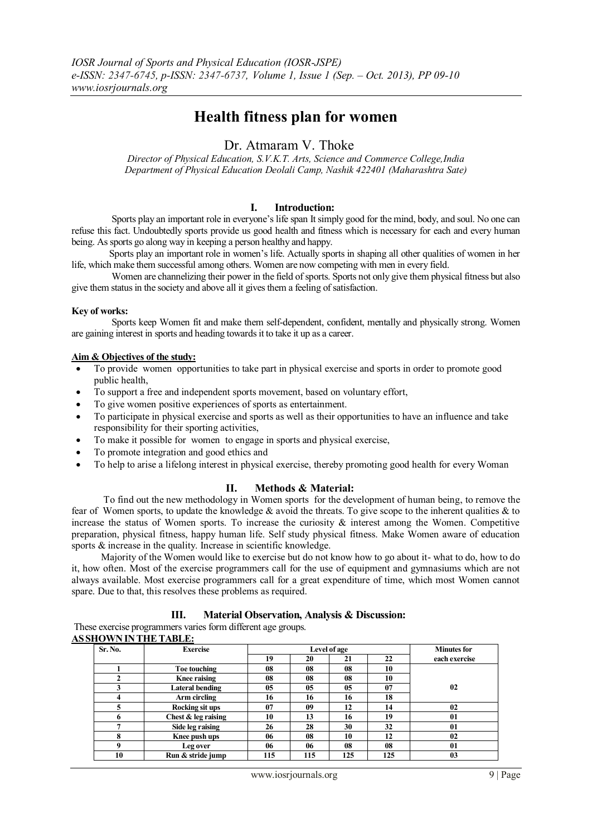# **Health fitness plan for women**

# Dr. Atmaram V. Thoke

*Director of Physical Education, S.V.K.T. Arts, Science and Commerce College,India Department of Physical Education Deolali Camp, Nashik 422401 (Maharashtra Sate)*

# **I. Introduction:**

 Sports play an important role in everyone's life span It simply good for the mind, body, and soul. No one can refuse this fact. Undoubtedly sports provide us good health and fitness which is necessary for each and every human being. As sports go along way in keeping a person healthy and happy.

 Sports play an important role in women's life. Actually sports in shaping all other qualities of women in her life, which make them successful among others. Women are now competing with men in every field.

Women are channelizing their power in the field of sports. Sports not only give them physical fitness but also give them status in the society and above all it gives them a feeling of satisfaction.

#### **Key of works:**

 Sports keep Women fit and make them self-dependent, confident, mentally and physically strong. Women are gaining interest in sports and heading towards it to take it up as a career.

#### **Aim & Objectives of the study:**

- To provide women opportunities to take part in physical exercise and sports in order to promote good public health,
- To support a free and independent sports movement, based on voluntary effort,
- To give women positive experiences of sports as entertainment.
- To participate in physical exercise and sports as well as their opportunities to have an influence and take responsibility for their sporting activities,
- To make it possible for women to engage in sports and physical exercise,
- To promote integration and good ethics and
- To help to arise a lifelong interest in physical exercise, thereby promoting good health for every Woman

## **II. Methods & Material:**

 To find out the new methodology in Women sports for the development of human being, to remove the fear of Women sports, to update the knowledge  $\&$  avoid the threats. To give scope to the inherent qualities  $\&$  to increase the status of Women sports. To increase the curiosity  $\&$  interest among the Women. Competitive preparation, physical fitness, happy human life. Self study physical fitness. Make Women aware of education sports  $\&$  increase in the quality. Increase in scientific knowledge.

 Majority of the Women would like to exercise but do not know how to go about it- what to do, how to do it, how often. Most of the exercise programmers call for the use of equipment and gymnasiums which are not always available. Most exercise programmers call for a great expenditure of time, which most Women cannot spare. Due to that, this resolves these problems as required.

# **III. Material Observation, Analysis & Discussion:**

| These exercise programmers varies form different age groups. |  |
|--------------------------------------------------------------|--|
| AS SHOWN IN THE TABLE:                                       |  |

| Sr. No.  | <b>Exercise</b>     | Level of age |     |     | <b>Minutes for</b> |                |
|----------|---------------------|--------------|-----|-----|--------------------|----------------|
|          |                     | 19           | 20  | 21  | 22                 | each exercise  |
|          | Toe touching        | 08           | 08  | 08  | 10                 |                |
|          | <b>Knee raising</b> | 08           | 08  | 08  | 10                 |                |
|          | Lateral bending     | 05           | 05  | 05  | 07                 | 02             |
|          | Arm circling        | 16           | 16  | 16  | 18                 |                |
|          | Rocking sit ups     | 07           | 09  | 12  | 14                 | 02             |
| 6        | Chest & leg raising | 10           | 13  | 16  | 19                 | 01             |
|          | Side leg raising    | 26           | 28  | 30  | 32                 | 01             |
|          | Knee push ups       | 06           | 08  | 10  | 12                 | 02             |
| $\bf{o}$ | Leg over            | 06           | 06  | 08  | 08                 | 01             |
| 10       | Run & stride jump   | 115          | 115 | 125 | 125                | 0 <sub>3</sub> |